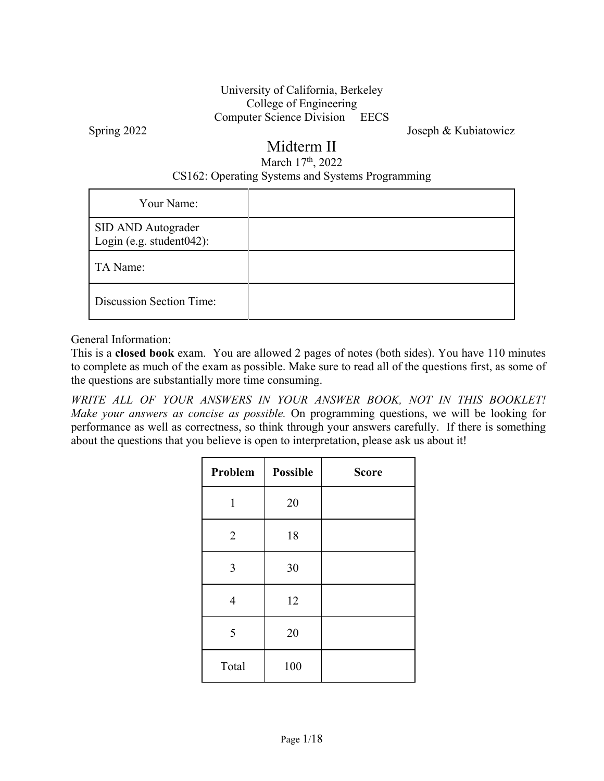#### University of California, Berkeley College of Engineering Computer Science Division EECS

Spring 2022 Joseph & Kubiatowicz

### Midterm II

March 17<sup>th</sup>, 2022 CS162: Operating Systems and Systems Programming

| Your Name:                                     |  |
|------------------------------------------------|--|
| SID AND Autograder<br>Login (e.g. student042): |  |
| TA Name:                                       |  |
| <b>Discussion Section Time:</b>                |  |

General Information:

This is a **closed book** exam. You are allowed 2 pages of notes (both sides). You have 110 minutes to complete as much of the exam as possible. Make sure to read all of the questions first, as some of the questions are substantially more time consuming.

*WRITE ALL OF YOUR ANSWERS IN YOUR ANSWER BOOK, NOT IN THIS BOOKLET! Make your answers as concise as possible.* On programming questions, we will be looking for performance as well as correctness, so think through your answers carefully. If there is something about the questions that you believe is open to interpretation, please ask us about it!

| Problem        | <b>Possible</b> | <b>Score</b> |
|----------------|-----------------|--------------|
| 1              | 20              |              |
| $\overline{2}$ | 18              |              |
| 3              | 30              |              |
| 4              | 12              |              |
| 5              | 20              |              |
| Total          | 100             |              |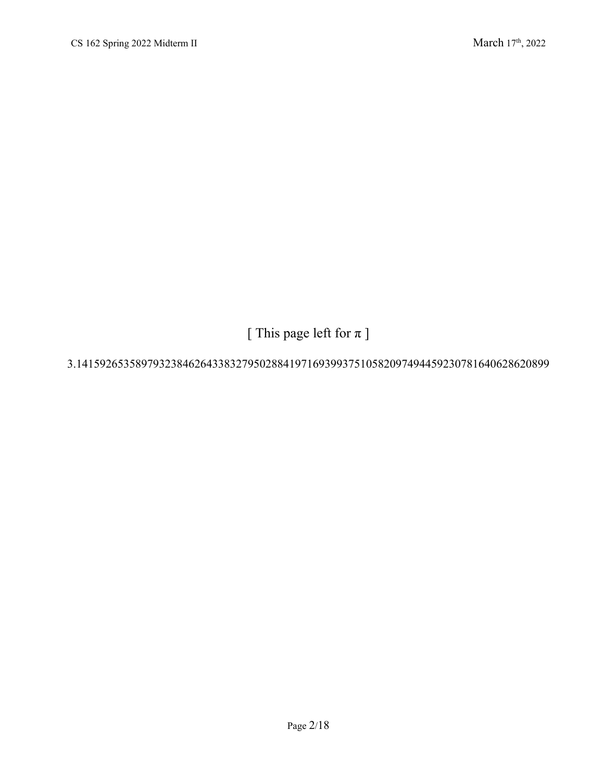[ This page left for  $\pi$  ]

### 3.14159265358979323846264338327950288419716939937510582097494459230781640628620899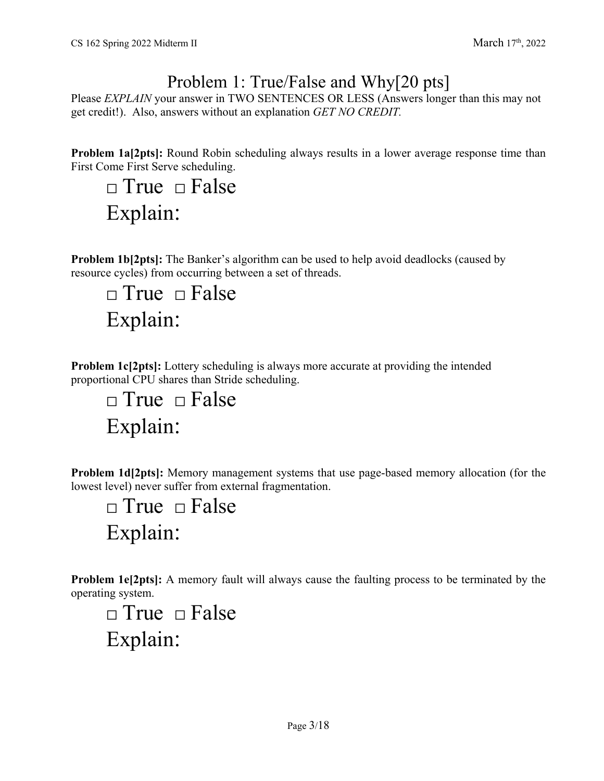## Problem 1: True/False and Why[20 pts]

Please *EXPLAIN* your answer in TWO SENTENCES OR LESS (Answers longer than this may not get credit!). Also, answers without an explanation *GET NO CREDIT.* 

**Problem 1a[2pts]:** Round Robin scheduling always results in a lower average response time than First Come First Serve scheduling.

 $\Box$  True  $\Box$  False Explain:

**Problem 1b[2pts]:** The Banker's algorithm can be used to help avoid deadlocks (caused by resource cycles) from occurring between a set of threads.

 $\Box$  True  $\Box$  False Explain:

**Problem 1c[2pts]:** Lottery scheduling is always more accurate at providing the intended proportional CPU shares than Stride scheduling.

 $\Box$  True  $\Box$  False Explain:

**Problem 1d[2pts]:** Memory management systems that use page-based memory allocation (for the lowest level) never suffer from external fragmentation.

 $\Box$  True  $\Box$  False Explain:

**Problem 1e[2pts]:** A memory fault will always cause the faulting process to be terminated by the operating system.

 $\Box$  True  $\Box$  False Explain: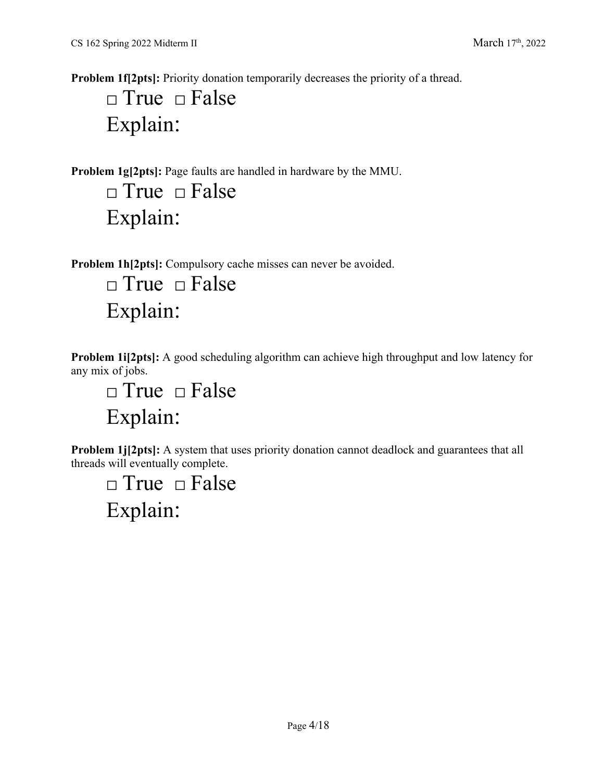**Problem 1f<sup>[2pts]</sup>:** Priority donation temporarily decreases the priority of a thread.

⬜ True ⬜ False Explain:

**Problem 1g[2pts]:** Page faults are handled in hardware by the MMU. □ True □ False Explain:

**Problem 1h[2pts]:** Compulsory cache misses can never be avoided.

 $\Box$  True  $\Box$  False Explain:

**Problem 1i[2pts]:** A good scheduling algorithm can achieve high throughput and low latency for any mix of jobs.

⬜ True ⬜ False Explain:

**Problem 1j[2pts]:** A system that uses priority donation cannot deadlock and guarantees that all threads will eventually complete.

 $\Box$  True  $\Box$  False Explain: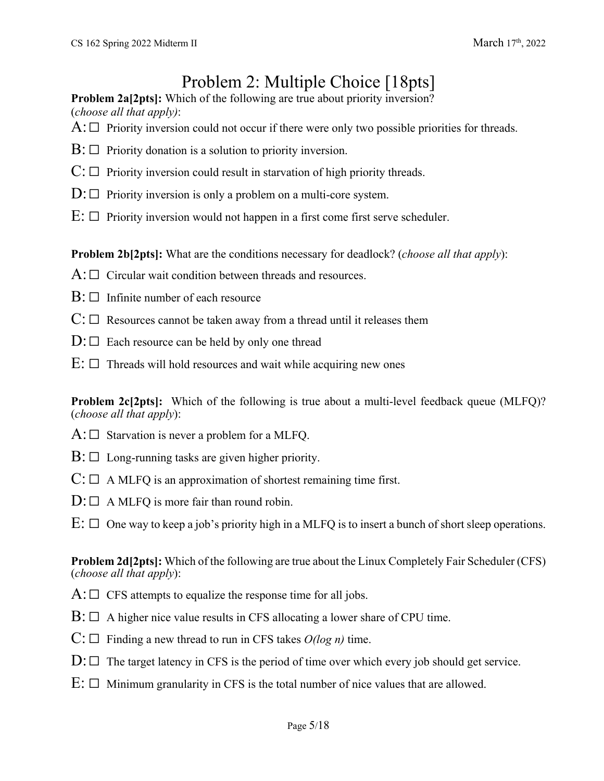## Problem 2: Multiple Choice [18pts]

**Problem 2a[2pts]:** Which of the following are true about priority inversion? (*choose all that apply)*:

- $A: \Box$  Priority inversion could not occur if there were only two possible priorities for threads.
- $B: \Box$  Priority donation is a solution to priority inversion.
- $C: \Box$  Priority inversion could result in starvation of high priority threads.
- $D: \Box$  Priority inversion is only a problem on a multi-core system.
- $E: \Box$  Priority inversion would not happen in a first come first serve scheduler.

**Problem 2b[2pts]:** What are the conditions necessary for deadlock? (*choose all that apply*):

- $A: \Box$  Circular wait condition between threads and resources.
- $B: \Box$  Infinite number of each resource
- $C: \Box$  Resources cannot be taken away from a thread until it releases them
- $D: \Box$  Each resource can be held by only one thread
- $E: \Box$  Threads will hold resources and wait while acquiring new ones

**Problem 2c[2pts]:** Which of the following is true about a multi-level feedback queue (MLFQ)? (*choose all that apply*):

- $A: \square$  Starvation is never a problem for a MLFQ.
- $B: \Box$  Long-running tasks are given higher priority.
- $C: \Box$  A MLFQ is an approximation of shortest remaining time first.
- $D: \Box$  A MLFQ is more fair than round robin.
- $E: \Box$  One way to keep a job's priority high in a MLFQ is to insert a bunch of short sleep operations.

**Problem 2d[2pts]:** Which of the following are true about the Linux Completely Fair Scheduler (CFS) (*choose all that apply*):

- $A: \Box$  CFS attempts to equalize the response time for all jobs.
- $B: \Box$  A higher nice value results in CFS allocating a lower share of CPU time.
- $C: \Box$  Finding a new thread to run in CFS takes  $O(log n)$  time.
- $D: \Box$  The target latency in CFS is the period of time over which every job should get service.
- $E: \Box$  Minimum granularity in CFS is the total number of nice values that are allowed.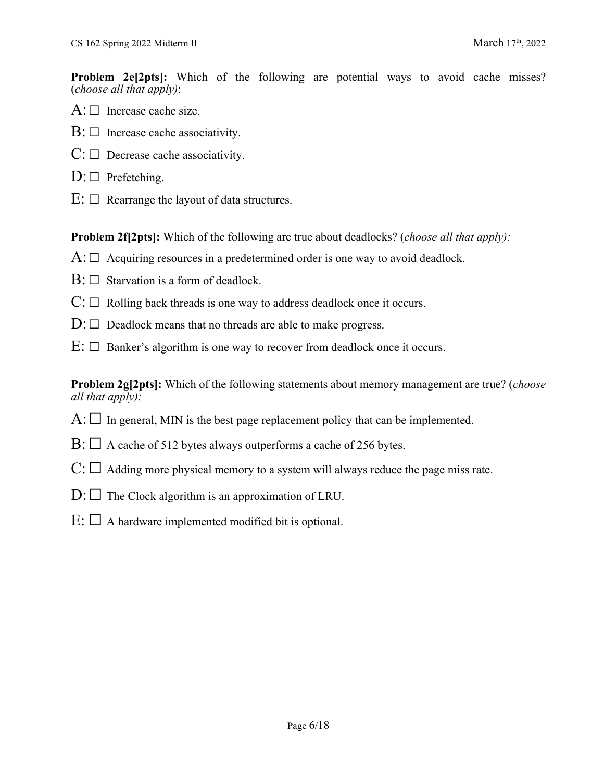**Problem 2e[2pts]:** Which of the following are potential ways to avoid cache misses? (*choose all that apply)*:

- $A: \Box$  Increase cache size.
- $B: \Box$  Increase cache associativity.
- $C: \Box$  Decrease cache associativity.
- $D: \Box$  Prefetching.
- $E: \Box$  Rearrange the layout of data structures.

**Problem 2f[2pts]:** Which of the following are true about deadlocks? *(choose all that apply)*:

- $A: \Box$  Acquiring resources in a predetermined order is one way to avoid deadlock.
- $B: \square$  Starvation is a form of deadlock.
- $C: \Box$  Rolling back threads is one way to address deadlock once it occurs.
- $D: \Box$  Deadlock means that no threads are able to make progress.
- $E: \Box$  Banker's algorithm is one way to recover from deadlock once it occurs.

**Problem 2g[2pts]:** Which of the following statements about memory management are true? (*choose all that apply):* 

- $A: \Box$  In general, MIN is the best page replacement policy that can be implemented.
- $B: \Box$  A cache of 512 bytes always outperforms a cache of 256 bytes.
- $C: \Box$  Adding more physical memory to a system will always reduce the page miss rate.
- $D: \Box$  The Clock algorithm is an approximation of LRU.
- $E: \Box$  A hardware implemented modified bit is optional.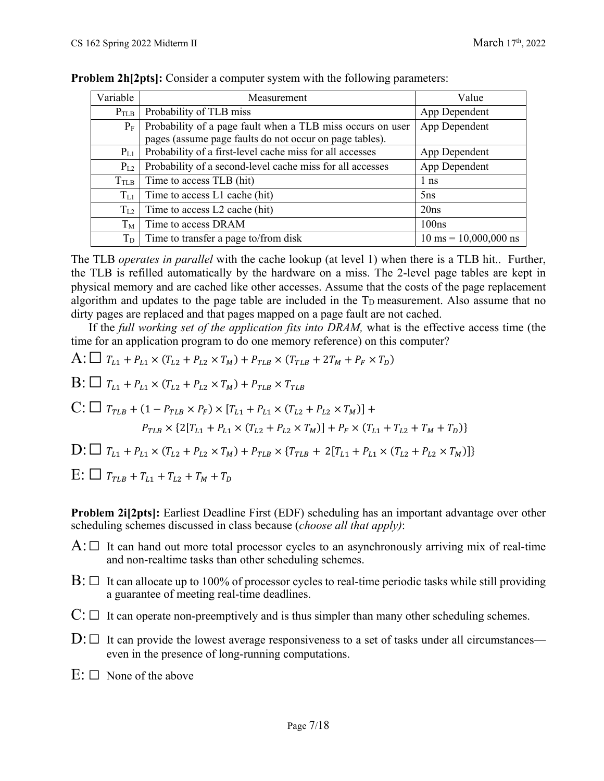| Variable         | Measurement                                                      | Value                                   |
|------------------|------------------------------------------------------------------|-----------------------------------------|
| $P_{TLB}$        | Probability of TLB miss                                          | App Dependent                           |
|                  | $P_F$ Probability of a page fault when a TLB miss occurs on user | App Dependent                           |
|                  | pages (assume page faults do not occur on page tables).          |                                         |
| $P_{L1}$         | Probability of a first-level cache miss for all accesses         | App Dependent                           |
| $P_{L2}$         | Probability of a second-level cache miss for all accesses        | App Dependent                           |
| T <sub>TLB</sub> | Time to access TLB (hit)                                         | 1 ns                                    |
| $T_{L1}$         | Time to access L1 cache (hit)                                    | 5 <sub>ns</sub>                         |
| $T_{L2}$         | Time to access L2 cache (hit)                                    | 20ns                                    |
| $T_M$            | Time to access DRAM                                              | 100ns                                   |
| $T_D$            | Time to transfer a page to/from disk                             | $10 \text{ ms} = 10,000,000 \text{ ns}$ |

**Problem 2h[2pts]:** Consider a computer system with the following parameters:

The TLB *operates in parallel* with the cache lookup (at level 1) when there is a TLB hit.. Further, the TLB is refilled automatically by the hardware on a miss. The 2-level page tables are kept in physical memory and are cached like other accesses. Assume that the costs of the page replacement algorithm and updates to the page table are included in the T<sub>D</sub> measurement. Also assume that no dirty pages are replaced and that pages mapped on a page fault are not cached.

If the *full working set of the application fits into DRAM,* what is the effective access time (the time for an application program to do one memory reference) on this computer?

 $A: \Box T_{L1} + P_{L1} \times (T_{L2} + P_{L2} \times T_M) + P_{TLB} \times (T_{TLB} + 2T_M + P_F \times T_D)$  $B: \Box T_{I.1} + P_{I.1} \times (T_{I.2} + P_{I.2} \times T_M) + P_{TLB} \times T_{TLB}$  $C: \Box T_{TLR} + (1 - P_{TLR} \times P_F) \times [T_{L1} + P_{L1} \times (T_{L2} + P_{L2} \times T_M)] +$  $P_{TLB} \times \{2[T_{L1} + P_{L1} \times (T_{L2} + P_{L2} \times T_M)] + P_F \times (T_{L1} + T_{L2} + T_M + T_D)\}$  $D: \Box T_{L1} + P_{L1} \times (T_{L2} + P_{L2} \times T_M) + P_{TLB} \times \{T_{TLB} + 2[T_{L1} + P_{L1} \times (T_{L2} + P_{L2} \times T_M)]\}$  $E: \Box T_{TLR} + T_{L1} + T_{L2} + T_M + T_D$ 

**Problem 2i**[2pts]: Earliest Deadline First (EDF) scheduling has an important advantage over other scheduling schemes discussed in class because (*choose all that apply)*:

- $A: \Box$  It can hand out more total processor cycles to an asynchronously arriving mix of real-time and non-realtime tasks than other scheduling schemes.
- $B: \square$  It can allocate up to 100% of processor cycles to real-time periodic tasks while still providing a guarantee of meeting real-time deadlines.
- $C: \Box$  It can operate non-preemptively and is thus simpler than many other scheduling schemes.
- $D: \Box$  It can provide the lowest average responsiveness to a set of tasks under all circumstances even in the presence of long-running computations.
- $E: \Box$  None of the above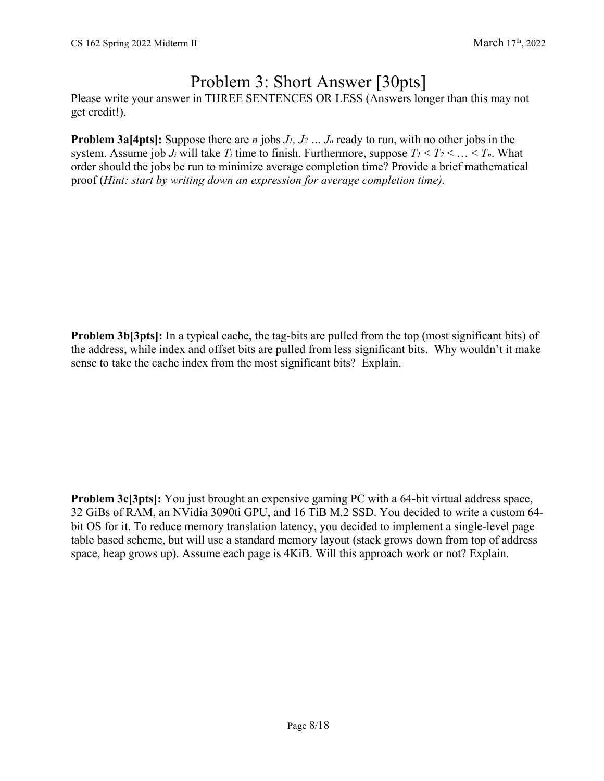## Problem 3: Short Answer [30pts]

Please write your answer in THREE SENTENCES OR LESS (Answers longer than this may not get credit!).

**Problem 3a[4pts]:** Suppose there are *n* jobs  $J_1, J_2, \ldots, J_n$  ready to run, with no other jobs in the system. Assume job  $J_i$  will take  $T_i$  time to finish. Furthermore, suppose  $T_1 < T_2 < ... < T_n$ . What order should the jobs be run to minimize average completion time? Provide a brief mathematical proof (*Hint: start by writing down an expression for average completion time).*

**Problem 3b[3pts]:** In a typical cache, the tag-bits are pulled from the top (most significant bits) of the address, while index and offset bits are pulled from less significant bits. Why wouldn't it make sense to take the cache index from the most significant bits? Explain.

**Problem 3c[3pts]:** You just brought an expensive gaming PC with a 64-bit virtual address space, 32 GiBs of RAM, an NVidia 3090ti GPU, and 16 TiB M.2 SSD. You decided to write a custom 64 bit OS for it. To reduce memory translation latency, you decided to implement a single-level page table based scheme, but will use a standard memory layout (stack grows down from top of address space, heap grows up). Assume each page is 4KiB. Will this approach work or not? Explain.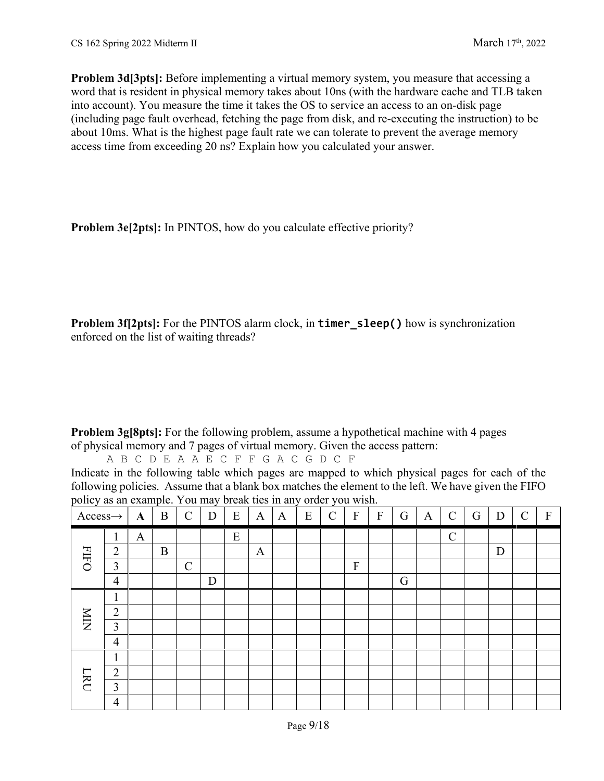**Problem 3d[3pts]:** Before implementing a virtual memory system, you measure that accessing a word that is resident in physical memory takes about 10ns (with the hardware cache and TLB taken into account). You measure the time it takes the OS to service an access to an on-disk page (including page fault overhead, fetching the page from disk, and re-executing the instruction) to be about 10ms. What is the highest page fault rate we can tolerate to prevent the average memory access time from exceeding 20 ns? Explain how you calculated your answer.

**Problem 3e[2pts]:** In PINTOS, how do you calculate effective priority?

**Problem 3f[2pts]:** For the PINTOS alarm clock, in **timer\_sleep()** how is synchronization enforced on the list of waiting threads?

**Problem 3g[8pts]:** For the following problem, assume a hypothetical machine with 4 pages of physical memory and 7 pages of virtual memory. Given the access pattern:

A B C D E A A E C F F G A C G D C F

Indicate in the following table which pages are mapped to which physical pages for each of the following policies. Assume that a blank box matches the element to the left. We have given the FIFO policy as an example. You may break ties in any order you wish.

| $Access\rightarrow$ |                    | A | $\mathbf B$ | $\mathbf C$  | D | E | $\mathbf{A}$ | $\mathbf{A}$ | ${\bf E}$ | $\mathbf C$ | $\boldsymbol{\mathrm{F}}$ | $\boldsymbol{\mathrm{F}}$ | G | $\mathbf{A}$ | $\mathbf C$ | $\mathbf G$ | D | $\mathbf C$ | $\boldsymbol{\mathrm{F}}$ |
|---------------------|--------------------|---|-------------|--------------|---|---|--------------|--------------|-----------|-------------|---------------------------|---------------------------|---|--------------|-------------|-------------|---|-------------|---------------------------|
|                     | Ŧ.                 | A |             |              |   | E |              |              |           |             |                           |                           |   |              | $\mathbf C$ |             |   |             |                           |
| <b>FIFO</b>         | $\mathcal{D}$<br>∠ |   | B           |              |   |   | $\mathbf{A}$ |              |           |             |                           |                           |   |              |             |             | D |             |                           |
|                     | 3                  |   |             | $\mathsf{C}$ |   |   |              |              |           |             | ${\bf F}$                 |                           |   |              |             |             |   |             |                           |
|                     | 4                  |   |             |              | D |   |              |              |           |             |                           |                           | G |              |             |             |   |             |                           |
|                     |                    |   |             |              |   |   |              |              |           |             |                           |                           |   |              |             |             |   |             |                           |
| $\sum_{\mathbf{N}}$ | $\mathcal{L}$<br>∠ |   |             |              |   |   |              |              |           |             |                           |                           |   |              |             |             |   |             |                           |
|                     | 3                  |   |             |              |   |   |              |              |           |             |                           |                           |   |              |             |             |   |             |                           |
|                     | $\overline{4}$     |   |             |              |   |   |              |              |           |             |                           |                           |   |              |             |             |   |             |                           |
|                     |                    |   |             |              |   |   |              |              |           |             |                           |                           |   |              |             |             |   |             |                           |
| LRU                 | $\overline{2}$     |   |             |              |   |   |              |              |           |             |                           |                           |   |              |             |             |   |             |                           |
|                     | 3                  |   |             |              |   |   |              |              |           |             |                           |                           |   |              |             |             |   |             |                           |
|                     | $\overline{4}$     |   |             |              |   |   |              |              |           |             |                           |                           |   |              |             |             |   |             |                           |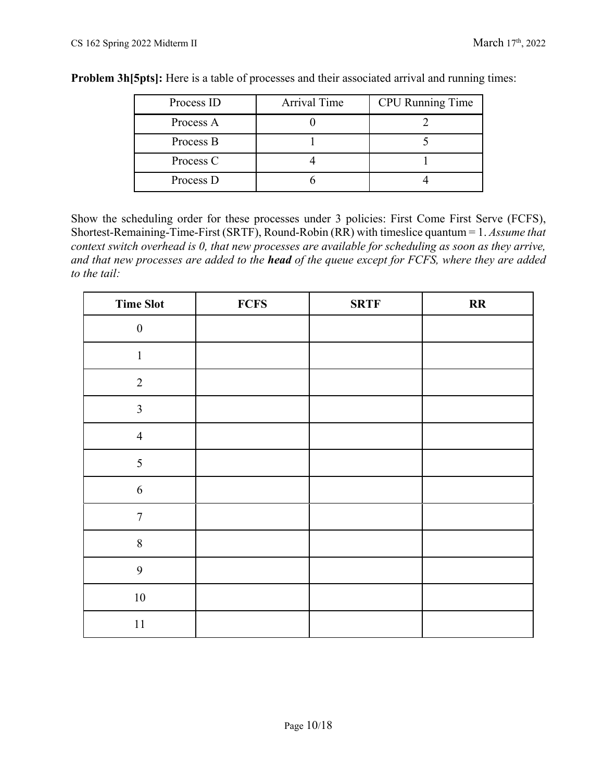| Process ID | Arrival Time | <b>CPU</b> Running Time |
|------------|--------------|-------------------------|
| Process A  |              |                         |
| Process B  |              |                         |
| Process C  |              |                         |
| Process D  |              |                         |

**Problem 3h[5pts]:** Here is a table of processes and their associated arrival and running times:

Show the scheduling order for these processes under 3 policies: First Come First Serve (FCFS), Shortest-Remaining-Time-First (SRTF), Round-Robin (RR) with timeslice quantum = 1. *Assume that context switch overhead is 0, that new processes are available for scheduling as soon as they arrive, and that new processes are added to the head of the queue except for FCFS, where they are added to the tail:*

| <b>Time Slot</b> | <b>FCFS</b> | <b>SRTF</b> | $\mathbf{R}\mathbf{R}$ |
|------------------|-------------|-------------|------------------------|
| $\boldsymbol{0}$ |             |             |                        |
| $\mathbf{1}$     |             |             |                        |
| $\overline{2}$   |             |             |                        |
| $\overline{3}$   |             |             |                        |
| $\overline{4}$   |             |             |                        |
| 5                |             |             |                        |
| $\sqrt{6}$       |             |             |                        |
| $\overline{7}$   |             |             |                        |
| $\,8\,$          |             |             |                        |
| 9                |             |             |                        |
| $10\,$           |             |             |                        |
| $11\,$           |             |             |                        |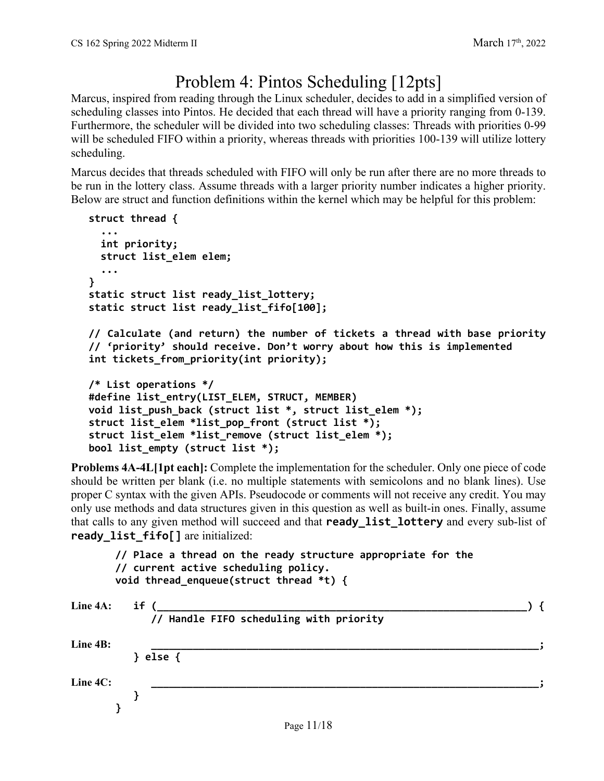**bool list\_empty (struct list \*);**

## Problem 4: Pintos Scheduling [12pts]

Marcus, inspired from reading through the Linux scheduler, decides to add in a simplified version of scheduling classes into Pintos. He decided that each thread will have a priority ranging from 0-139. Furthermore, the scheduler will be divided into two scheduling classes: Threads with priorities 0-99 will be scheduled FIFO within a priority, whereas threads with priorities 100-139 will utilize lottery scheduling.

Marcus decides that threads scheduled with FIFO will only be run after there are no more threads to be run in the lottery class. Assume threads with a larger priority number indicates a higher priority. Below are struct and function definitions within the kernel which may be helpful for this problem:

```
struct thread {
    ...
    int priority;
    struct list_elem elem;
    ...
}
static struct list ready_list_lottery;
static struct list ready_list_fifo[100];
// Calculate (and return) the number of tickets a thread with base priority
// 'priority' should receive. Don't worry about how this is implemented
int tickets_from_priority(int priority);
/* List operations */
#define list_entry(LIST_ELEM, STRUCT, MEMBER)
void list_push_back (struct list *, struct list_elem *);
struct list_elem *list_pop_front (struct list *);
struct list_elem *list_remove (struct list_elem *);
```
**Problems 4A-4L[1pt each]:** Complete the implementation for the scheduler. Only one piece of code should be written per blank (i.e. no multiple statements with semicolons and no blank lines). Use proper C syntax with the given APIs. Pseudocode or comments will not receive any credit. You may only use methods and data structures given in this question as well as built-in ones. Finally, assume that calls to any given method will succeed and that **ready\_list\_lottery** and every sub-list of ready list fifo[] are initialized:

```
// Place a thread on the ready structure appropriate for the
       // current active scheduling policy.   
       void thread_enqueue(struct thread *t) {
Line 4A:    if (______________________________________________________________) {
        // Handle FIFO scheduling with priority
Line 4B:       _________________________________________________________________;
               } else {
Line 4C:       _________________________________________________________________;
     }
       }
```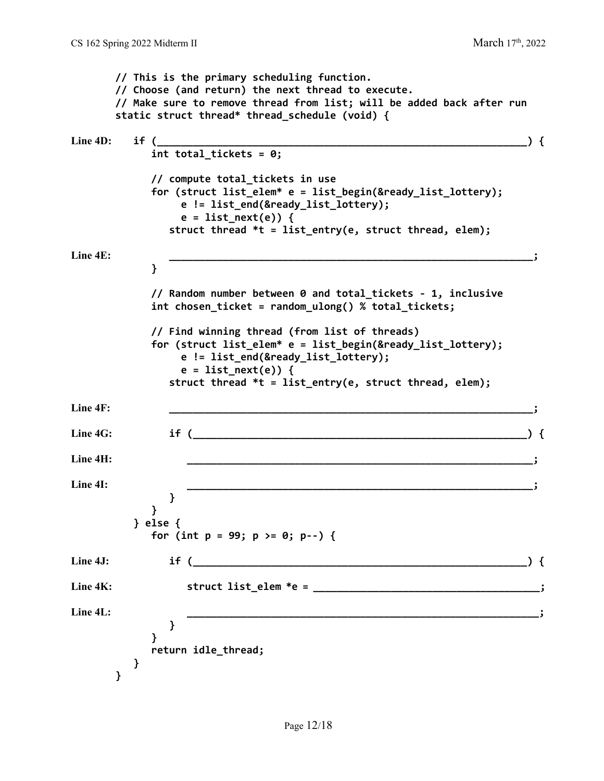```
// This is the primary scheduling function.
        // Choose (and return) the next thread to execute.
        // Make sure to remove thread from list; will be added back after run
        static struct thread* thread_schedule (void) {
Line 4D:    if (______________________________________________________________) {
                       int total_tickets = 0;
                       // compute total_tickets in use
                       for (struct list_elem* e = list_begin(&ready_list_lottery);
                                  e != list_end(&ready_list_lottery);
                                  e = list_next(e)) {
                              struct thread *t = list_entry(e, struct thread, elem);
Line 4E:          _____________________________________________________________;
        }
                       // Random number between 0 and total_tickets ‐ 1, inclusive
                       int chosen_ticket = random_ulong() % total_tickets;
                       // Find winning thread (from list of threads)
                       for (struct list_elem* e = list_begin(&ready_list_lottery);
                                  e != list_end(&ready_list_lottery);
                                  e = list_next(e)) {
                              struct thread *t = list_entry(e, struct thread, elem);
Line 4F:          _____________________________________________________________;
Line 4G:          if (________________________________________________________) {
Line 4H:             __________________________________________________________;
Line 4I: Line 41: <b>Line 41: Line 41: Line 41: <b>Line 41: <i>Line 41: <i>Line 41: <b>Blue 41: Blue 41: Blue 41: Blue 41: Blue 41: Blue 41: Blue 41: Blue 41: Blue 41: <b>Blue 
           }
        }
                 } else {
                       for (int p = 99; p >= 0; p‐‐) {
Line 4J:          if (________________________________________________________) {
Line 4K:             struct list_elem *e = ______________________________________;
Line 4L:             ___________________________________________________________;
           }
        }
                       return idle_thread;
     }
        }
```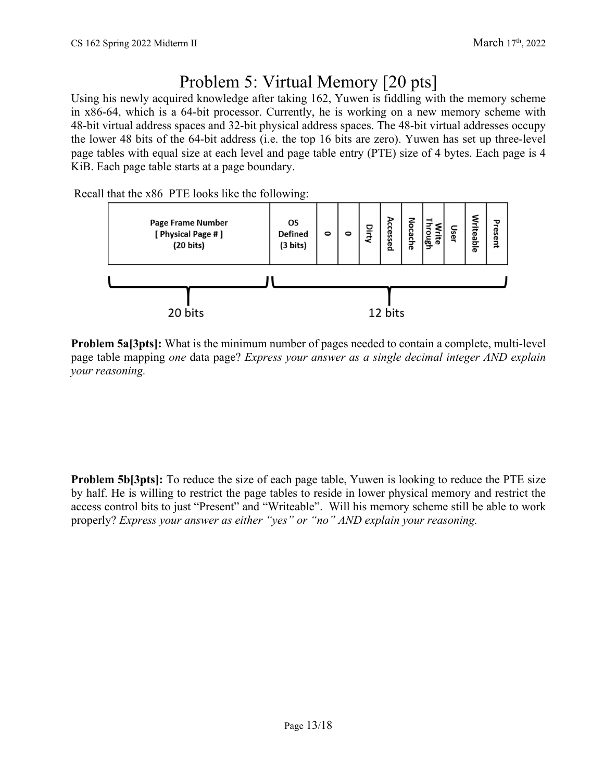## Problem 5: Virtual Memory [20 pts]

Using his newly acquired knowledge after taking 162, Yuwen is fiddling with the memory scheme in x86-64, which is a 64-bit processor. Currently, he is working on a new memory scheme with 48-bit virtual address spaces and 32-bit physical address spaces. The 48-bit virtual addresses occupy the lower 48 bits of the 64-bit address (i.e. the top 16 bits are zero). Yuwen has set up three-level page tables with equal size at each level and page table entry (PTE) size of 4 bytes. Each page is 4 KiB. Each page table starts at a page boundary.

Recall that the x86 PTE looks like the following:



**Problem 5a[3pts]:** What is the minimum number of pages needed to contain a complete, multi-level page table mapping *one* data page? *Express your answer as a single decimal integer AND explain your reasoning.* 

**Problem 5b[3pts]:** To reduce the size of each page table, Yuwen is looking to reduce the PTE size by half. He is willing to restrict the page tables to reside in lower physical memory and restrict the access control bits to just "Present" and "Writeable". Will his memory scheme still be able to work properly? *Express your answer as either "yes" or "no" AND explain your reasoning.*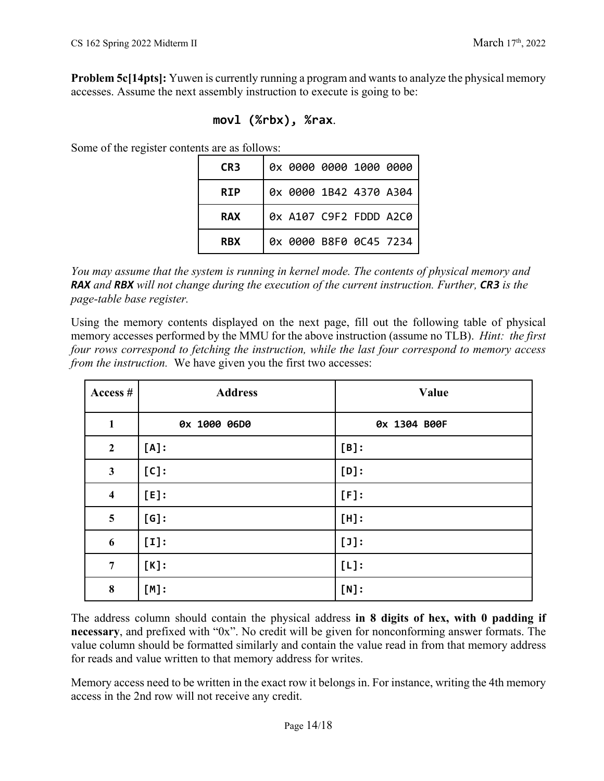### **movl (%rbx), %rax**.

Some of the register contents are as follows:

| CR <sub>3</sub> |  | 0x 0000 0000 1000 0000 |  |
|-----------------|--|------------------------|--|
| <b>RIP</b>      |  | 0x 0000 1B42 4370 A304 |  |
| <b>RAX</b>      |  | 0x A107 C9F2 FDDD A2C0 |  |
| <b>RBX</b>      |  | 0x 0000 B8F0 0C45 7234 |  |

*You may assume that the system is running in kernel mode. The contents of physical memory and RAX* and *RBX* will not change during the execution of the current instruction. Further, CR3 is the *page-table base register.* 

Using the memory contents displayed on the next page, fill out the following table of physical memory accesses performed by the MMU for the above instruction (assume no TLB). *Hint: the first four rows correspond to fetching the instruction, while the last four correspond to memory access from the instruction.* We have given you the first two accesses:

| Access #                | <b>Address</b> | Value        |
|-------------------------|----------------|--------------|
| $\mathbf{1}$            | 0x 1000 06D0   | 0x 1304 B00F |
| $\boldsymbol{2}$        | [A]:           | $[B]$ :      |
| $\mathbf{3}$            | $[C]$ :        | $[D]$        |
| $\overline{\mathbf{4}}$ | $[E]$ :        | $[F]$ :      |
| $\overline{\mathbf{5}}$ | [G]:           | $[H]$ :      |
| 6                       | $[1]:$         | $[\ ]] :$    |
| $\boldsymbol{7}$        | $[K]$ :        | $[L]$        |
| $\bf{8}$                | $[M]$ :        | $[N]$ :      |

The address column should contain the physical address **in 8 digits of hex, with 0 padding if necessary**, and prefixed with "0x". No credit will be given for nonconforming answer formats. The value column should be formatted similarly and contain the value read in from that memory address for reads and value written to that memory address for writes.

Memory access need to be written in the exact row it belongs in. For instance, writing the 4th memory access in the 2nd row will not receive any credit.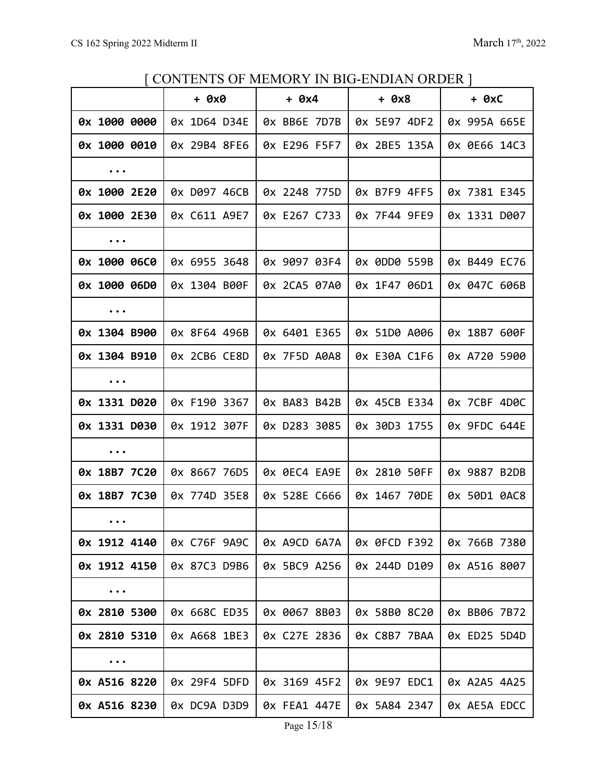|  |  |  | [ CONTENTS OF MEMORY IN BIG-ENDIAN ORDER ] |  |
|--|--|--|--------------------------------------------|--|
|--|--|--|--------------------------------------------|--|

|                                                                   | $+ 0x0$      | + 0x4                       | + 0x8        | $+ 0xC$                     |  |  |
|-------------------------------------------------------------------|--------------|-----------------------------|--------------|-----------------------------|--|--|
| 0x 1000 0000                                                      |              | 0x 1D64 D34E   0x BB6E 7D7B |              | 0x 5E97 4DF2   0x 995A 665E |  |  |
| 0x 1000 0010                                                      | 0x 29B4 8FE6 | 0x E296 F5F7                | 0x 2BE5 135A | 0x 0E66 14C3                |  |  |
| $\bullet\hspace{0.1cm}\bullet\hspace{0.1cm}\bullet\hspace{0.1cm}$ |              |                             |              |                             |  |  |
| 0x 1000 2E20                                                      | 0x D097 46CB | 0x 2248 775D                | 0x B7F9 4FF5 | 0x 7381 E345                |  |  |
| 0x 1000 2E30                                                      | 0x C611 A9E7 | 0x E267 C733                | 0x 7F44 9FE9 | 0x 1331 D007                |  |  |
| $\bullet\hspace{0.1cm}\bullet\hspace{0.1cm}\bullet\hspace{0.1cm}$ |              |                             |              |                             |  |  |
| 0x 1000 06C0                                                      | 0x 6955 3648 | 0x 9097 03F4                | 0x 0DD0 559B | 0x B449 EC76                |  |  |
| 0x 1000 06D0                                                      | 0x 1304 B00F | 0x 2CA5 07A0                | 0x 1F47 06D1 | 0x 047C 606B                |  |  |
| $\cdots$                                                          |              |                             |              |                             |  |  |
| 0x 1304 B900                                                      | 0x 8F64 496B | 0x 6401 E365                | 0x 51D0 A006 | 0x 18B7 600F                |  |  |
| 0x 1304 B910                                                      |              | 0x 2CB6 CE8D   0x 7F5D A0A8 | 0x E30A C1F6 | 0x A720 5900                |  |  |
| $\bullet\hspace{0.1cm}\bullet\hspace{0.1cm}\bullet\hspace{0.1cm}$ |              |                             |              |                             |  |  |
| 0x 1331 D020                                                      |              | 0x F190 3367   0x BA83 B42B |              | 0x 45CB E334   0x 7CBF 4D0C |  |  |
| 0x 1331 D030                                                      |              | 0x 1912 307F   0x D283 3085 |              | 0x 30D3 1755   0x 9FDC 644E |  |  |
| $\cdots$                                                          |              |                             |              |                             |  |  |
| 0x 18B7 7C20                                                      | 0x 8667 76D5 | 0x 0EC4 EA9E                | 0x 2810 50FF | 0x 9887 B2DB                |  |  |
| 0x 18B7 7C30                                                      | 0x 774D 35E8 | 0x 528E C666                | 0x 1467 70DE | 0x 50D1 0AC8                |  |  |
| $\cdots$                                                          |              |                             |              |                             |  |  |
| 0x 1912 4140                                                      | 0x C76F 9A9C | 0x A9CD 6A7A                | 0x 0FCD F392 | 0x 766B 7380                |  |  |
| 0x 1912 4150                                                      | 0x 87C3 D9B6 | 0x 5BC9 A256                | 0x 244D D109 | 0x A516 8007                |  |  |
| $\bullet\hspace{0.1cm}\bullet\hspace{0.1cm}\bullet\hspace{0.1cm}$ |              |                             |              |                             |  |  |
| 0x 2810 5300                                                      | 0x 668C ED35 | 0x 0067 8B03                | 0x 58B0 8C20 | 0x BB06 7B72                |  |  |
| 0x 2810 5310                                                      | 0x A668 1BE3 | 0x C27E 2836                | 0x C8B7 7BAA | 0x ED25 5D4D                |  |  |
| $\cdots$                                                          |              |                             |              |                             |  |  |
| 0x A516 8220                                                      | 0x 29F4 5DFD | 0x 3169 45F2                | 0x 9E97 EDC1 | 0x A2A5 4A25                |  |  |
| 0x A516 8230                                                      | 0x DC9A D3D9 | 0x FEA1 447E                | 0x 5A84 2347 | 0x AE5A EDCC                |  |  |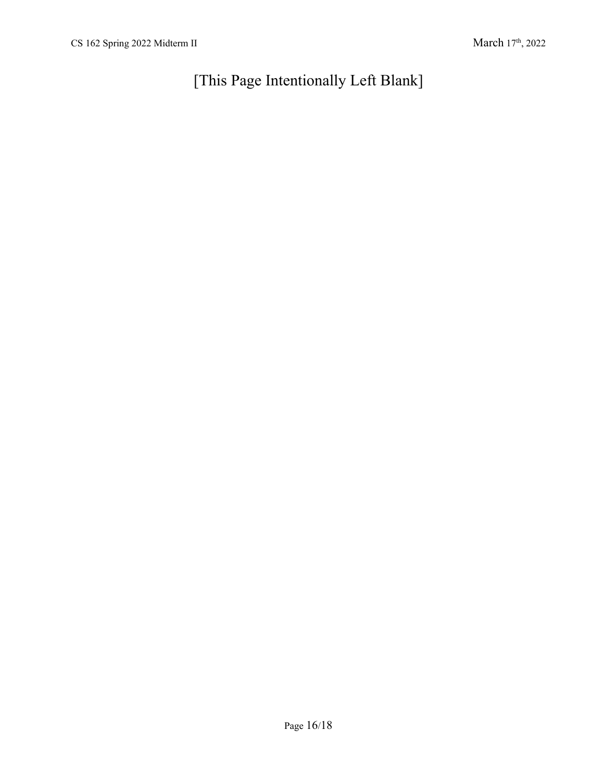# [This Page Intentionally Left Blank]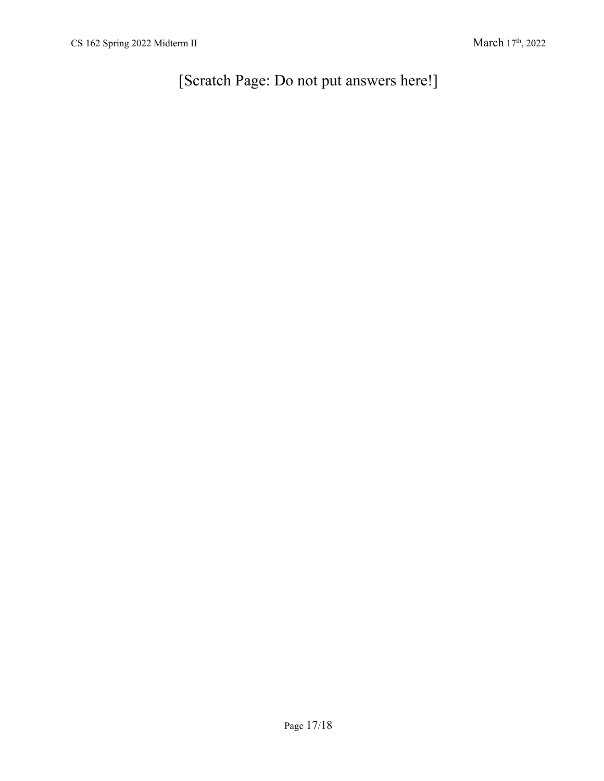[Scratch Page: Do not put answers here!]